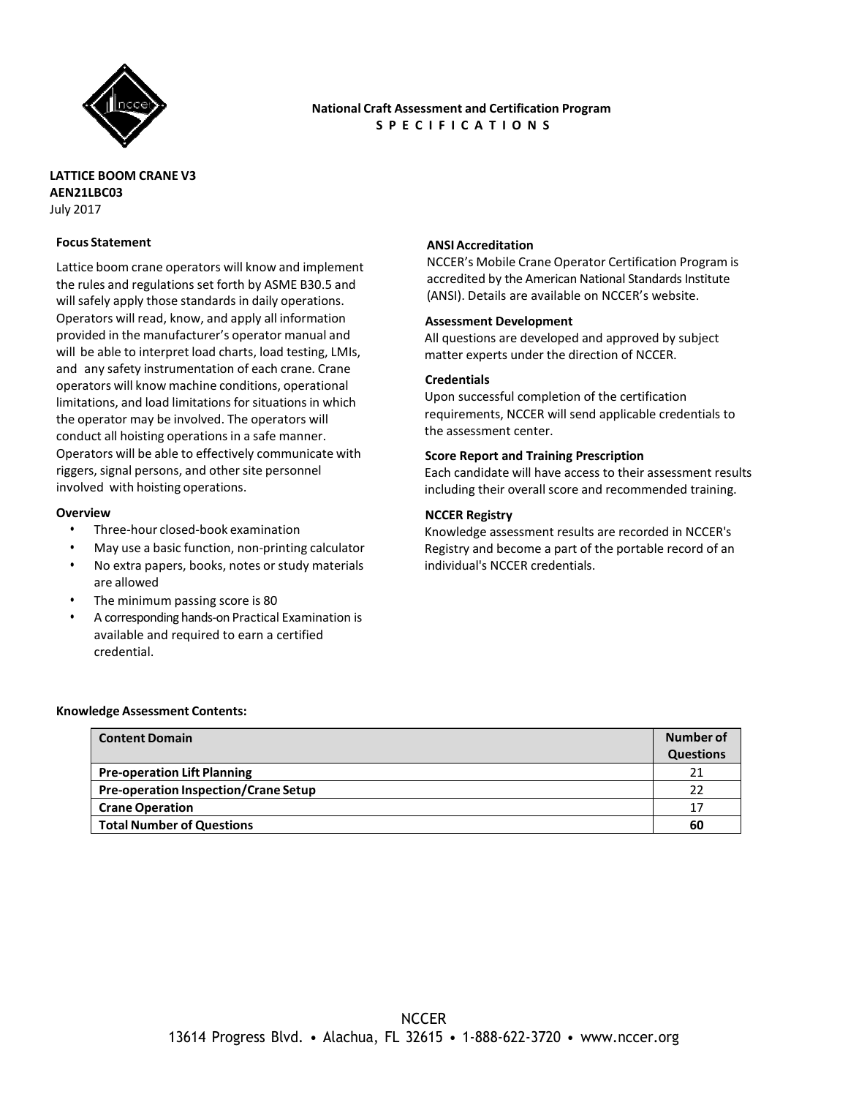

# **National Craft Assessment and Certification Program S P E C I F I C A T I O N S**

# **LATTICE BOOM CRANE V3 AEN21LBC03** July 2017

### **Focus Statement**

Lattice boom crane operators will know and implement the rules and regulations set forth by ASME B30.5 and will safely apply those standards in daily operations. Operators will read, know, and apply all information provided in the manufacturer's operator manual and will be able to interpret load charts, load testing, LMIs, and any safety instrumentation of each crane. Crane operators will know machine conditions, operational limitations, and load limitations for situations in which the operator may be involved. The operators will conduct all hoisting operations in a safe manner. Operators will be able to effectively communicate with riggers, signal persons, and other site personnel involved with hoisting operations.

#### **Overview**

- Three-hour closed-book examination
- May use a basic function, non-printing calculator
- No extra papers, books, notes or study materials are allowed
- The minimum passing score is 80
- A corresponding hands-on Practical Examination is available and required to earn a certified credential.

### **ANSI Accreditation**

NCCER's Mobile Crane Operator Certification Program is accredited by the American National Standards Institute (ANSI). Details are available on NCCER's website.

#### **Assessment Development**

All questions are developed and approved by subject matter experts under the direction of NCCER.

# **Credentials**

Upon successful completion of the certification requirements, NCCER will send applicable credentials to the assessment center.

# **Score Report and Training Prescription**

Each candidate will have access to their assessment results including their overall score and recommended training.

# **NCCER Registry**

Knowledge assessment results are recorded in NCCER's Registry and become a part of the portable record of an individual's NCCER credentials.

#### **Knowledge Assessment Contents:**

| <b>Content Domain</b>                       | Number of        |
|---------------------------------------------|------------------|
|                                             | <b>Questions</b> |
| <b>Pre-operation Lift Planning</b>          | 21               |
| <b>Pre-operation Inspection/Crane Setup</b> | 22               |
| <b>Crane Operation</b>                      | 17               |
| <b>Total Number of Questions</b>            | 60               |